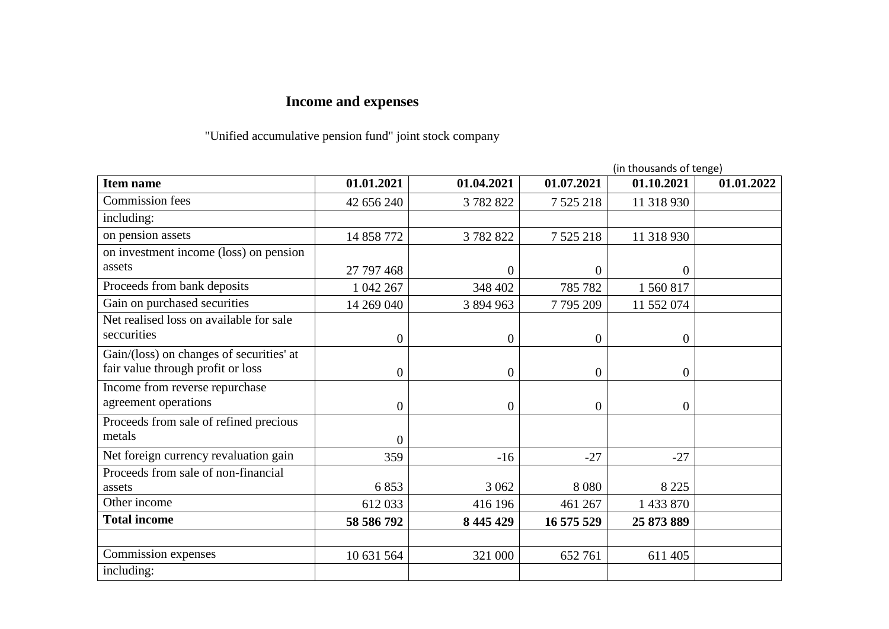## **Income and expenses**

"Unified accumulative pension fund" joint stock company

|                                                                               |                  |                | (in thousands of tenge) |                  |            |
|-------------------------------------------------------------------------------|------------------|----------------|-------------------------|------------------|------------|
| <b>Item name</b>                                                              | 01.01.2021       | 01.04.2021     | 01.07.2021              | 01.10.2021       | 01.01.2022 |
| <b>Commission</b> fees                                                        | 42 656 240       | 3782822        | 7 5 25 218              | 11 318 930       |            |
| including:                                                                    |                  |                |                         |                  |            |
| on pension assets                                                             | 14 858 772       | 3782822        | 7 5 25 218              | 11 318 930       |            |
| on investment income (loss) on pension                                        |                  |                |                         |                  |            |
| assets                                                                        | 27 797 468       | $\overline{0}$ | $\overline{0}$          | $\boldsymbol{0}$ |            |
| Proceeds from bank deposits                                                   | 1 042 267        | 348 402        | 785 782                 | 1 560 817        |            |
| Gain on purchased securities                                                  | 14 269 040       | 3 894 963      | 7795209                 | 11 552 074       |            |
| Net realised loss on available for sale<br>seccurities                        | $\overline{0}$   | $\theta$       | $\theta$                | $\mathbf{0}$     |            |
| Gain/(loss) on changes of securities' at<br>fair value through profit or loss | $\boldsymbol{0}$ | $\theta$       | $\theta$                | $\mathbf{0}$     |            |
| Income from reverse repurchase<br>agreement operations                        | $\overline{0}$   | $\overline{0}$ | $\theta$                | $\overline{0}$   |            |
| Proceeds from sale of refined precious<br>metals                              | $\overline{0}$   |                |                         |                  |            |
| Net foreign currency revaluation gain                                         | 359              | $-16$          | $-27$                   | $-27$            |            |
| Proceeds from sale of non-financial<br>assets                                 | 6853             | 3 0 6 2        | 8 0 8 0                 | 8 2 2 5          |            |
| Other income                                                                  | 612033           | 416 196        | 461 267                 | 1 433 870        |            |
| <b>Total income</b>                                                           | 58 586 792       | 8 445 429      | 16 575 529              | 25 873 889       |            |
|                                                                               |                  |                |                         |                  |            |
| Commission expenses                                                           | 10 631 564       | 321 000        | 652 761                 | 611 405          |            |
| including:                                                                    |                  |                |                         |                  |            |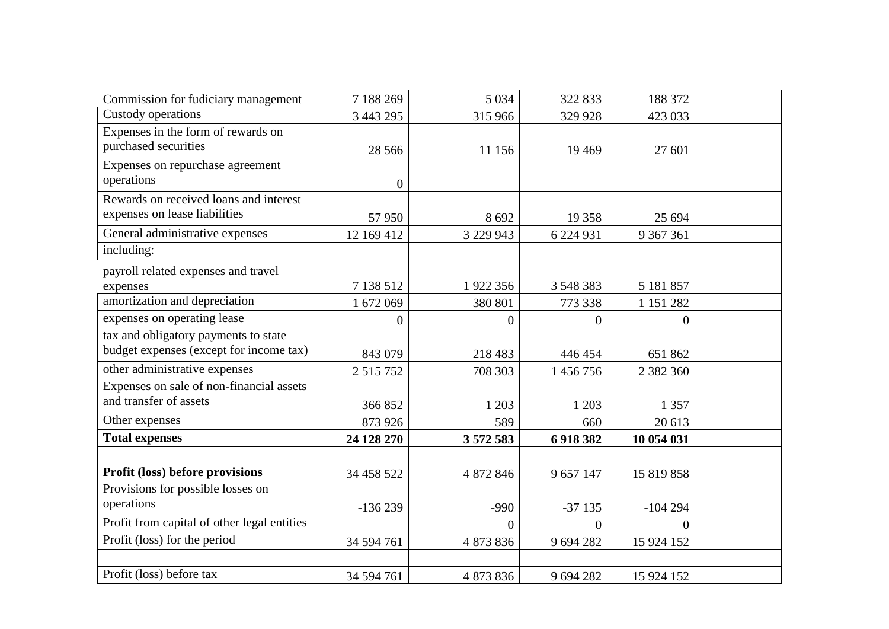| Commission for fudiciary management         | 7 188 269        | 5 0 3 4        | 322 833        | 188 372          |  |
|---------------------------------------------|------------------|----------------|----------------|------------------|--|
| Custody operations                          | 3 443 295        | 315 966        | 329 928        | 423 033          |  |
| Expenses in the form of rewards on          |                  |                |                |                  |  |
| purchased securities                        | 28 5 6 6         | 11 156         | 19 4 69        | 27 601           |  |
| Expenses on repurchase agreement            |                  |                |                |                  |  |
| operations                                  | $\boldsymbol{0}$ |                |                |                  |  |
| Rewards on received loans and interest      |                  |                |                |                  |  |
| expenses on lease liabilities               | 57 950           | 8692           | 19 358         | 25 694           |  |
| General administrative expenses             | 12 169 412       | 3 229 943      | 6 224 931      | 9 367 361        |  |
| including:                                  |                  |                |                |                  |  |
| payroll related expenses and travel         |                  |                |                |                  |  |
| expenses                                    | 7 138 512        | 1922 356       | 3 548 383      | 5 181 857        |  |
| amortization and depreciation               | 1 672 069        | 380 801        | 773 338        | 1 151 282        |  |
| expenses on operating lease                 | $\overline{0}$   | $\overline{0}$ | $\overline{0}$ | $\boldsymbol{0}$ |  |
| tax and obligatory payments to state        |                  |                |                |                  |  |
| budget expenses (except for income tax)     | 843 079          | 218 483        | 446 454        | 651 862          |  |
| other administrative expenses               | 2 5 1 5 7 5 2    | 708 303        | 1 456 756      | 2 3 8 2 3 6 0    |  |
| Expenses on sale of non-financial assets    |                  |                |                |                  |  |
| and transfer of assets                      | 366 852          | 1 203          | 1 203          | 1 3 5 7          |  |
| Other expenses                              | 873 926          | 589            | 660            | 20 613           |  |
| <b>Total expenses</b>                       | 24 128 270       | 3 572 583      | 6918382        | 10 054 031       |  |
|                                             |                  |                |                |                  |  |
| Profit (loss) before provisions             | 34 458 522       | 4 872 846      | 9 657 147      | 15 819 858       |  |
| Provisions for possible losses on           |                  |                |                |                  |  |
| operations                                  | $-136239$        | $-990$         | $-37135$       | $-104294$        |  |
| Profit from capital of other legal entities |                  | $\overline{0}$ | $\overline{0}$ | $\overline{0}$   |  |
| Profit (loss) for the period                | 34 594 761       | 4 873 836      | 9 694 282      | 15 924 152       |  |
|                                             |                  |                |                |                  |  |
| Profit (loss) before tax                    | 34 594 761       | 4 873 836      | 9 694 282      | 15 924 152       |  |